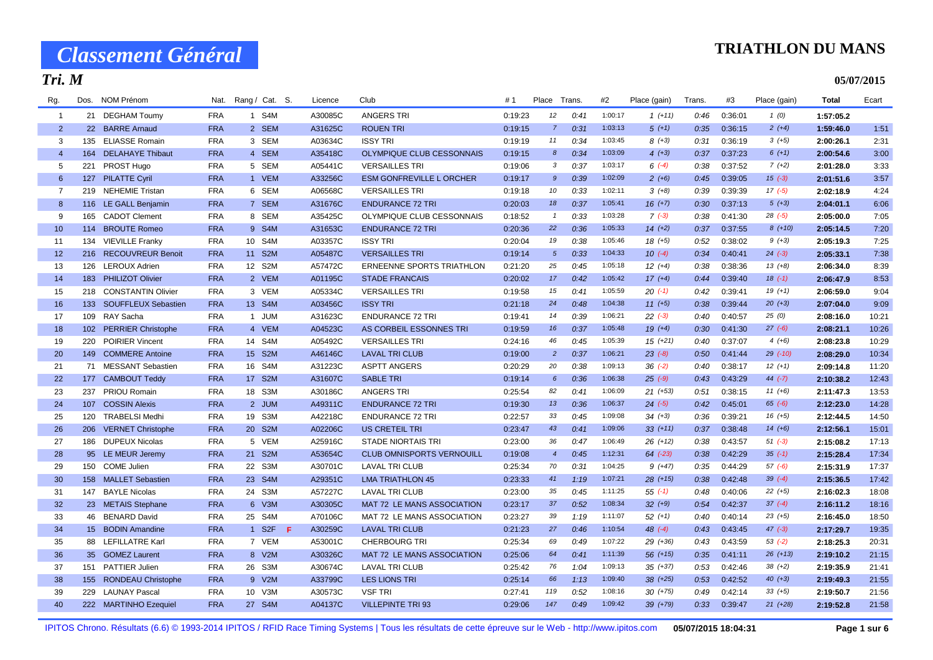### **TRIATHLON DU MANS**

## *Tri. M*

| 05/07/2015 |
|------------|
|------------|

| Rg.            |     | Dos. NOM Prénom         |            | Nat. Rang / Cat. S. |   | Licence | Club                              | #1      | Place Trans.   |      | #2      | Place (gain) | Trans. | #3      | Place (gain) | <b>Total</b> | Ecart |
|----------------|-----|-------------------------|------------|---------------------|---|---------|-----------------------------------|---------|----------------|------|---------|--------------|--------|---------|--------------|--------------|-------|
| $\mathbf{1}$   |     | 21 DEGHAM Toumy         | <b>FRA</b> | 1 S4M               |   | A30085C | <b>ANGERS TRI</b>                 | 0:19:23 | 12             | 0:41 | 1:00:17 | $1(+11)$     | 0:46   | 0:36:01 | 1(0)         | 1:57:05.2    |       |
| $\overline{2}$ |     | 22 BARRE Arnaud         | <b>FRA</b> | 2 SEM               |   | A31625C | <b>ROUEN TRI</b>                  | 0:19:15 | $\overline{7}$ | 0:31 | 1:03:13 | $5 (+1)$     | 0:35   | 0:36:15 | $2(+4)$      | 1:59:46.0    | 1:51  |
| 3              |     | 135 ELIASSE Romain      | <b>FRA</b> | 3 SEM               |   | A03634C | <b>ISSY TRI</b>                   | 0:19:19 | 11             | 0:34 | 1:03:45 | $8 (+3)$     | 0:31   | 0:36:19 | $3(+5)$      | 2:00:26.1    | 2:31  |
| $\overline{4}$ |     | 164 DELAHAYE Thibaut    | <b>FRA</b> | 4 SEM               |   | A35418C | OLYMPIQUE CLUB CESSONNAIS         | 0:19:15 | $\pmb{8}$      | 0:34 | 1:03:09 | $4 (+3)$     | 0:37   | 0:37:23 | $6 (+1)$     | 2:00:54.6    | 3:00  |
| 5              | 221 | PROST Hugo              | <b>FRA</b> | 5 SEM               |   | A05441C | <b>VERSAILLES TRI</b>             | 0:19:06 | 3              | 0:37 | 1:03:17 | $6(-4)$      | 0:38   | 0:37:52 | $7(+2)$      | 2:01:28.0    | 3:33  |
| $6\phantom{1}$ |     | 127 PILATTE Cyril       | <b>FRA</b> | 1 VEM               |   | A33256C | <b>ESM GONFREVILLE L ORCHER</b>   | 0:19:17 | 9              | 0:39 | 1:02:09 | $2 (+6)$     | 0:45   | 0:39:05 | $15(-3)$     | 2:01:51.6    | 3:57  |
| $\overline{7}$ |     | 219 NEHEMIE Tristan     | <b>FRA</b> | 6 SEM               |   | A06568C | <b>VERSAILLES TRI</b>             | 0:19:18 | 10             | 0:33 | 1:02:11 | $3 (+8)$     | 0:39   | 0:39:39 | $17(-5)$     | 2:02:18.9    | 4:24  |
| 8              |     | 116 LE GALL Benjamin    | <b>FRA</b> | 7 SEM               |   | A31676C | <b>ENDURANCE 72 TRI</b>           | 0:20:03 | 18             | 0:37 | 1:05:41 | $16 (+7)$    | 0:30   | 0:37:13 | $5(+3)$      | 2:04:01.1    | 6:06  |
| 9              | 165 | <b>CADOT Clement</b>    | <b>FRA</b> | 8 SEM               |   | A35425C | OLYMPIQUE CLUB CESSONNAIS         | 0:18:52 | $\overline{1}$ | 0:33 | 1:03:28 | $7(-3)$      | 0:38   | 0:41:30 | $28 (-5)$    | 2:05:00.0    | 7:05  |
| 10             | 114 | <b>BROUTE Romeo</b>     | <b>FRA</b> | 9 S4M               |   | A31653C | <b>ENDURANCE 72 TRI</b>           | 0:20:36 | 22             | 0:36 | 1:05:33 | $14 (+2)$    | 0:37   | 0:37:55 | $8 (+10)$    | 2:05:14.5    | 7:20  |
| 11             | 134 | <b>VIEVILLE Franky</b>  | <b>FRA</b> | 10 S4M              |   | A03357C | <b>ISSY TRI</b>                   | 0:20:04 | 19             | 0:38 | 1:05:46 | $18(+5)$     | 0:52   | 0:38:02 | $9 (+3)$     | 2:05:19.3    | 7:25  |
| 12             |     | 216 RECOUVREUR Benoit   | <b>FRA</b> | 11 S2M              |   | A05487C | <b>VERSAILLES TRI</b>             | 0:19:14 | $\sqrt{5}$     | 0:33 | 1:04:33 | $10(-4)$     | 0:34   | 0:40:41 | $24 (-3)$    | 2:05:33.1    | 7:38  |
| 13             | 126 | <b>LEROUX Adrien</b>    | <b>FRA</b> | 12 S2M              |   | A57472C | ERNEENNE SPORTS TRIATHLON         | 0:21:20 | 25             | 0:45 | 1:05:18 | $12 (+4)$    | 0:38   | 0:38:36 | $13(+8)$     | 2:06:34.0    | 8:39  |
| 14             |     | 183 PHILIZOT Olivier    | <b>FRA</b> | 2 VEM               |   | A01195C | <b>STADE FRANCAIS</b>             | 0:20:02 | 17             | 0:42 | 1:05:42 | $17(+4)$     | 0:44   | 0:39:40 | $18(-1)$     | 2:06:47.9    | 8:53  |
| 15             |     | 218 CONSTANTIN Olivier  | <b>FRA</b> | 3 VEM               |   | A05334C | <b>VERSAILLES TRI</b>             | 0:19:58 | 15             | 0:41 | 1:05:59 | $20( -1)$    | 0:42   | 0:39:41 | $19(+1)$     | 2:06:59.0    | 9:04  |
| 16             |     | 133 SOUFFLEUX Sebastien | <b>FRA</b> | 13 S4M              |   | A03456C | <b>ISSY TRI</b>                   | 0:21:18 | 24             | 0:48 | 1:04:38 | $11 (+5)$    | 0:38   | 0:39:44 | $20 (+3)$    | 2:07:04.0    | 9:09  |
| 17             |     | 109 RAY Sacha           | <b>FRA</b> | 1 JUM               |   | A31623C | <b>ENDURANCE 72 TRI</b>           | 0:19:41 | 14             | 0:39 | 1:06:21 | $22 (-3)$    | 0:40   | 0:40:57 | 25(0)        | 2:08:16.0    | 10:21 |
| 18             |     | 102 PERRIER Christophe  | <b>FRA</b> | 4 VEM               |   | A04523C | AS CORBEIL ESSONNES TRI           | 0:19:59 | 16             | 0:37 | 1:05:48 | $19 (+4)$    | 0:30   | 0:41:30 | $27 (-6)$    | 2:08:21.1    | 10:26 |
| 19             | 220 | <b>POIRIER Vincent</b>  | <b>FRA</b> | 14 S4M              |   | A05492C | <b>VERSAILLES TRI</b>             | 0:24:16 | 46             | 0:45 | 1:05:39 | $15 (+21)$   | 0:40   | 0:37:07 | $4(+6)$      | 2:08:23.8    | 10:29 |
| 20             |     | 149 COMMERE Antoine     | <b>FRA</b> | 15 S2M              |   | A46146C | <b>LAVAL TRI CLUB</b>             | 0:19:00 | $\overline{2}$ | 0:37 | 1:06:21 | $23( -8)$    | 0:50   | 0:41:44 | $29$ (-10)   | 2:08:29.0    | 10:34 |
| 21             |     | 71 MESSANT Sebastien    | <b>FRA</b> | 16 S4M              |   | A31223C | <b>ASPTT ANGERS</b>               | 0:20:29 | 20             | 0:38 | 1:09:13 | $36(-2)$     | 0:40   | 0:38:17 | $12 (+1)$    | 2:09:14.8    | 11:20 |
| 22             |     | 177 CAMBOUT Teddy       | <b>FRA</b> | 17 S2M              |   | A31607C | <b>SABLE TRI</b>                  | 0:19:14 | $\epsilon$     | 0:36 | 1:06:38 | $25$ $(-9)$  | 0:43   | 0:43:29 | 44 $(-7)$    | 2:10:38.2    | 12:43 |
| 23             |     | 237 PRIOU Romain        | <b>FRA</b> | 18 S3M              |   | A30186C | <b>ANGERS TRI</b>                 | 0:25:54 | 82             | 0:41 | 1:06:09 | $21 (+53)$   | 0:51   | 0:38:15 | $11 (+6)$    | 2:11:47.3    | 13:53 |
| 24             | 107 | <b>COSSIN Alexis</b>    | <b>FRA</b> | 2 JUM               |   | A49311C | <b>ENDURANCE 72 TRI</b>           | 0:19:30 | 13             | 0:36 | 1:06:37 | $24$ $(-5)$  | 0:42   | 0:45:01 | $65 (-6)$    | 2:12:23.0    | 14:28 |
| 25             | 120 | <b>TRABELSI Medhi</b>   | <b>FRA</b> | 19 S3M              |   | A42218C | <b>ENDURANCE 72 TRI</b>           | 0:22:57 | 33             | 0:45 | 1:09:08 | $34 (+3)$    | 0:36   | 0:39:21 | $16 (+5)$    | 2:12:44.5    | 14:50 |
| 26             |     | 206 VERNET Christophe   | <b>FRA</b> | 20 S2M              |   | A02206C | <b>US CRETEIL TRI</b>             | 0:23:47 | 43             | 0:41 | 1:09:06 | $33 (+11)$   | 0:37   | 0:38:48 | $14(+6)$     | 2:12:56.1    | 15:01 |
| 27             |     | 186 DUPEUX Nicolas      | <b>FRA</b> | 5 VEM               |   | A25916C | <b>STADE NIORTAIS TRI</b>         | 0:23:00 | 36             | 0:47 | 1:06:49 | $26(+12)$    | 0:38   | 0:43:57 | $51 (-3)$    | 2:15:08.2    | 17:13 |
| 28             |     | 95 LE MEUR Jeremy       | <b>FRA</b> | 21 S2M              |   | A53654C | <b>CLUB OMNISPORTS VERNOUILL</b>  | 0:19:08 | $\overline{4}$ | 0:45 | 1:12:31 | $64$ $(-23)$ | 0:38   | 0:42:29 | $35(-1)$     | 2:15:28.4    | 17:34 |
| 29             | 150 | <b>COME Julien</b>      | <b>FRA</b> | 22 S3M              |   | A30701C | <b>LAVAL TRI CLUB</b>             | 0:25:34 | 70             | 0:31 | 1:04:25 | $9 (+47)$    | 0:35   | 0:44:29 | $57(-6)$     | 2:15:31.9    | 17:37 |
| 30             |     | 158 MALLET Sebastien    | <b>FRA</b> | 23 S4M              |   | A29351C | <b>LMA TRIATHLON 45</b>           | 0:23:33 | 41             | 1:19 | 1:07:21 | $28(+15)$    | 0:38   | 0:42:48 | $39(-4)$     | 2:15:36.5    | 17:42 |
| 31             |     | 147 BAYLE Nicolas       | <b>FRA</b> | 24 S3M              |   | A57227C | <b>LAVAL TRI CLUB</b>             | 0:23:00 | 35             | 0:45 | 1:11:25 | $55( -1)$    | 0:48   | 0:40:06 | $22(+5)$     | 2:16:02.3    | 18:08 |
| 32             |     | 23 METAIS Stephane      | <b>FRA</b> | 6 V3M               |   | A30305C | <b>MAT 72 LE MANS ASSOCIATION</b> | 0:23:17 | 37             | 0:52 | 1:08:34 | $32 (+9)$    | 0:54   | 0:42:37 | $37 (-4)$    | 2:16:11.2    | 18:16 |
| 33             |     | 46 BENARD David         | <b>FRA</b> | 25 S4M              |   | A70106C | MAT 72 LE MANS ASSOCIATION        | 0:23:27 | 39             | 1:19 | 1:11:07 | $52 (+1)$    | 0:40   | 0:40:14 | $23 (+5)$    | 2:16:45.0    | 18:50 |
| 34             |     | 15 BODIN Amandine       | <b>FRA</b> | 1 S2F               | F | A30259C | <b>LAVAL TRI CLUB</b>             | 0:21:23 | 27             | 0:46 | 1:10:54 | $48$ $(-4)$  | 0:43   | 0:43:45 | $47 (-3)$    | 2:17:29.7    | 19:35 |
| 35             |     | 88 LEFILLATRE Karl      | <b>FRA</b> | 7 VEM               |   | A53001C | <b>CHERBOURG TRI</b>              | 0:25:34 | 69             | 0:49 | 1:07:22 | 29 (+36)     | 0:43   | 0:43:59 | $53(-2)$     | 2:18:25.3    | 20:31 |
| 36             |     | 35 GOMEZ Laurent        | <b>FRA</b> | 8 V2M               |   | A30326C | MAT 72 LE MANS ASSOCIATION        | 0:25:06 | 64             | 0:41 | 1:11:39 | $56(+15)$    | 0:35   | 0:41:11 | $26 (+13)$   | 2:19:10.2    | 21:15 |
| 37             |     | 151 PATTIER Julien      | <b>FRA</b> | 26 S3M              |   | A30674C | <b>LAVAL TRI CLUB</b>             | 0:25:42 | 76             | 1:04 | 1:09:13 | 35 (+37)     | 0:53   | 0:42:46 | $38 (+2)$    | 2:19:35.9    | 21:41 |
| 38             |     | 155 RONDEAU Christophe  | <b>FRA</b> | 9 V2M               |   | A33799C | <b>LES LIONS TRI</b>              | 0:25:14 | 66             | 1:13 | 1:09:40 | $38 (+25)$   | 0:53   | 0:42:52 | $40 (+3)$    | 2:19:49.3    | 21:55 |
| 39             | 229 | <b>LAUNAY Pascal</b>    | <b>FRA</b> | 10 V3M              |   | A30573C | <b>VSF TRI</b>                    | 0:27:41 | 119            | 0:52 | 1:08:16 | $30 (+75)$   | 0:49   | 0:42:14 | $33 (+5)$    | 2:19:50.7    | 21:56 |
| 40             |     | 222 MARTINHO Ezequiel   | <b>FRA</b> | 27 S4M              |   | A04137C | <b>VILLEPINTE TRI 93</b>          | 0:29:06 | 147            | 0:49 | 1:09:42 | $39 (+79)$   | 0:33   | 0:39:47 | $21 (+28)$   | 2:19:52.8    | 21:58 |

IPITOS Chrono. Résultats (6.6) © 1993-2014 IPITOS / RFID Race Timing Systems | Tous les résultats de cette épreuve sur le Web - http://www.ipitos.com **05/07/2015 18:04:31 Page 1 sur 6**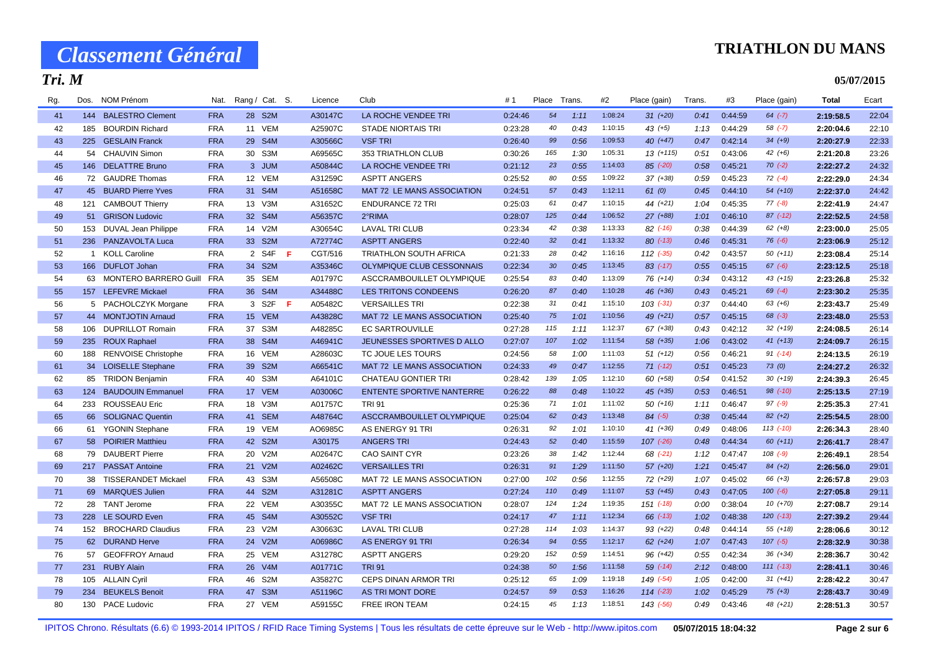### **TRIATHLON DU MANS**

## *Tri. M*

| 05/07/2015 |
|------------|
|------------|

| Rg. | Dos. | <b>NOM Prénom</b>          | Nat.       |    | Rang / Cat. S. |     | Licence | Club                              | #1      | Place           | Trans. | #2      | Place (gain)   | Trans. | #3      | Place (gain)  | Total     | Ecart |
|-----|------|----------------------------|------------|----|----------------|-----|---------|-----------------------------------|---------|-----------------|--------|---------|----------------|--------|---------|---------------|-----------|-------|
| 41  |      | 144 BALESTRO Clement       | <b>FRA</b> |    | 28 S2M         |     | A30147C | LA ROCHE VENDEE TRI               | 0:24:46 | 54              | 1:11   | 1:08:24 | $31 (+20)$     | 0:41   | 0:44:59 | $64 (-7)$     | 2:19:58.5 | 22:04 |
| 42  | 185  | <b>BOURDIN Richard</b>     | <b>FRA</b> |    | 11 VEM         |     | A25907C | <b>STADE NIORTAIS TRI</b>         | 0:23:28 | 40              | 0:43   | 1:10:15 | $43 (+5)$      | 1:13   | 0:44:29 | $58$ $(-7)$   | 2:20:04.6 | 22:10 |
| 43  |      | 225 GESLAIN Franck         | <b>FRA</b> |    | 29 S4M         |     | A30566C | <b>VSF TRI</b>                    | 0:26:40 | 99              | 0:56   | 1:09:53 | 40 (+47)       | 0:47   | 0:42:14 | $34 (+9)$     | 2:20:27.9 | 22:33 |
| 44  |      | 54 CHAUVIN Simon           | <b>FRA</b> |    | 30 S3M         |     | A69565C | 353 TRIATHLON CLUB                | 0:30:26 | 165             | 1:30   | 1:05:31 | $13 (+115)$    | 0:51   | 0:43:06 | $42 (+6)$     | 2:21:20.8 | 23:26 |
| 45  |      | 146 DELATTRE Bruno         | <b>FRA</b> |    | 3 JUM          |     | A50844C | LA ROCHE VENDEE TRI               | 0:21:12 | 23              | 0:55   | 1:14:03 | $85$ (-20)     | 0:58   | 0:45:21 | $70(-2)$      | 2:22:27.2 | 24:32 |
| 46  |      | 72 GAUDRE Thomas           | <b>FRA</b> |    | 12 VEM         |     | A31259C | <b>ASPTT ANGERS</b>               | 0:25:52 | 80              | 0:55   | 1:09:22 | $37 (+38)$     | 0:59   | 0:45:23 | $72$ $(-4)$   | 2:22:29.0 | 24:34 |
| 47  |      | 45 BUARD Pierre Yves       | <b>FRA</b> |    | 31 S4M         |     | A51658C | MAT 72 LE MANS ASSOCIATION        | 0:24:51 | 57              | 0:43   | 1:12:11 | 61(0)          | 0:45   | 0:44:10 | 54 (+10)      | 2:22:37.0 | 24:42 |
| 48  |      | 121 CAMBOUT Thierry        | <b>FRA</b> |    | 13 V3M         |     | A31652C | <b>ENDURANCE 72 TRI</b>           | 0:25:03 | 61              | 0:47   | 1:10:15 | $44 (+21)$     | 1:04   | 0:45:35 | $77(-8)$      | 2:22:41.9 | 24:47 |
| 49  |      | 51 GRISON Ludovic          | <b>FRA</b> |    | 32 S4M         |     | A56357C | 2°RIMA                            | 0:28:07 | 125             | 0:44   | 1:06:52 | $27 (+88)$     | 1:01   | 0:46:10 | $87$ (-12)    | 2:22:52.5 | 24:58 |
| 50  | 153  | DUVAL Jean Philippe        | <b>FRA</b> |    | 14 V2M         |     | A30654C | <b>LAVAL TRI CLUB</b>             | 0:23:34 | 42              | 0:38   | 1:13:33 | $82$ (-16)     | 0:38   | 0:44:39 | $62 (+8)$     | 2:23:00.0 | 25:05 |
| 51  |      | 236 PANZAVOLTA Luca        | <b>FRA</b> |    | 33 S2M         |     | A72774C | <b>ASPTT ANGERS</b>               | 0:22:40 | 32              | 0:41   | 1:13:32 | $80$ ( $-13$ ) | 0:46   | 0:45:31 | $76(-6)$      | 2:23:06.9 | 25:12 |
| 52  |      | 1 KOLL Caroline            | <b>FRA</b> |    | 2 S4F          | - F | CGT/516 | TRIATHLON SOUTH AFRICA            | 0:21:33 | 28              | 0:42   | 1:16:16 | $112$ $(-35)$  | 0:42   | 0:43:57 | $50(+11)$     | 2:23:08.4 | 25:14 |
| 53  |      | 166 DUFLOT Johan           | <b>FRA</b> |    | 34 S2M         |     | A35346C | <b>OLYMPIQUE CLUB CESSONNAIS</b>  | 0:22:34 | 30 <sub>o</sub> | 0:45   | 1:13:45 | $83$ $(-17)$   | 0:55   | 0:45:15 | $67 (-6)$     | 2:23:12.5 | 25:18 |
| 54  |      | 63 MONTERO BARRERO Guill   | <b>FRA</b> |    | 35 SEM         |     | A01797C | ASCCRAMBOUILLET OLYMPIQUE         | 0:25:54 | 83              | 0:40   | 1:13:09 | $76(+14)$      | 0:34   | 0:43:12 | $43 (+15)$    | 2:23:26.8 | 25:32 |
| 55  |      | 157 LEFEVRE Mickael        | <b>FRA</b> |    | 36 S4M         |     | A34488C | LES TRITONS CONDEENS              | 0:26:20 | 87              | 0:40   | 1:10:28 | 46 (+36)       | 0:43   | 0:45:21 | $69$ $(-4)$   | 2:23:30.2 | 25:35 |
| 56  |      | 5 PACHOLCZYK Morgane       | <b>FRA</b> |    | 3 S2F          | - F | A05482C | <b>VERSAILLES TRI</b>             | 0:22:38 | 31              | 0:41   | 1:15:10 | $103$ $(-31)$  | 0:37   | 0:44:40 | $63 (+6)$     | 2:23:43.7 | 25:49 |
| 57  |      | 44 MONTJOTIN Arnaud        | <b>FRA</b> |    | 15 VEM         |     | A43828C | <b>MAT 72 LE MANS ASSOCIATION</b> | 0:25:40 | 75              | 1:01   | 1:10:56 | $49 (+21)$     | 0:57   | 0:45:15 | $68$ $(-3)$   | 2:23:48.0 | 25:53 |
| 58  | 106  | <b>DUPRILLOT Romain</b>    | <b>FRA</b> |    | 37 S3M         |     | A48285C | <b>EC SARTROUVILLE</b>            | 0:27:28 | 115             | 1:11   | 1:12:37 | $67$ (+38)     | 0:43   | 0:42:12 | $32 (+19)$    | 2:24:08.5 | 26:14 |
| 59  |      | 235 ROUX Raphael           | <b>FRA</b> |    | 38 S4M         |     | A46941C | JEUNESSES SPORTIVES D ALLO        | 0:27:07 | 107             | 1:02   | 1:11:54 | 58 (+35)       | 1:06   | 0:43:02 | $41 (+13)$    | 2:24:09.7 | 26:15 |
| 60  | 188  | <b>RENVOISE Christophe</b> | <b>FRA</b> | 16 | <b>VEM</b>     |     | A28603C | TC JOUE LES TOURS                 | 0:24:56 | 58              | 1:00   | 1:11:03 | $51 (+12)$     | 0:56   | 0:46:21 | $91 (-14)$    | 2:24:13.5 | 26:19 |
| 61  |      | 34 LOISELLE Stephane       | <b>FRA</b> |    | 39 S2M         |     | A66541C | MAT 72 LE MANS ASSOCIATION        | 0:24:33 | 49              | 0:47   | 1:12:55 | $71$ (-12)     | 0:51   | 0:45:23 | 73(0)         | 2:24:27.2 | 26:32 |
| 62  | 85   | <b>TRIDON Benjamin</b>     | <b>FRA</b> |    | 40 S3M         |     | A64101C | <b>CHATEAU GONTIER TRI</b>        | 0:28:42 | 139             | 1:05   | 1:12:10 | $60 (+58)$     | 0:54   | 0:41:52 | $30(+19)$     | 2:24:39.3 | 26:45 |
| 63  | 124  | <b>BAUDOUIN Emmanuel</b>   | <b>FRA</b> |    | 17 VEM         |     | A03006C | <b>ENTENTE SPORTIVE NANTERRE</b>  | 0:26:22 | 88              | 0:48   | 1:10:22 | 45 (+35)       | 0:53   | 0:46:51 | 98 (-10)      | 2:25:13.5 | 27:19 |
| 64  | 233  | <b>ROUSSEAU Eric</b>       | <b>FRA</b> |    | 18 V3M         |     | A01757C | <b>TRI 91</b>                     | 0:25:36 | 71              | 1:01   | 1:11:02 | $50(+16)$      | 1:11   | 0:46:47 | $97 (-9)$     | 2:25:35.3 | 27:41 |
| 65  | 66   | <b>SOLIGNAC Quentin</b>    | <b>FRA</b> | 41 | <b>SEM</b>     |     | A48764C | <b>ASCCRAMBOUILLET OLYMPIQUE</b>  | 0:25:04 | 62              | 0:43   | 1:13:48 | $84$ $(-5)$    | 0:38   | 0:45:44 | $82 (+2)$     | 2:25:54.5 | 28:00 |
| 66  |      | 61 YGONIN Stephane         | <b>FRA</b> |    | 19 VEM         |     | AO6985C | AS ENERGY 91 TRI                  | 0:26:31 | 92              | 1:01   | 1:10:10 | $41 (+36)$     | 0:49   | 0:48:06 | $113( -10)$   | 2:26:34.3 | 28:40 |
| 67  |      | 58 POIRIER Matthieu        | <b>FRA</b> |    | 42 S2M         |     | A30175  | <b>ANGERS TRI</b>                 | 0:24:43 | 52              | 0:40   | 1:15:59 | $107$ $(-26)$  | 0:48   | 0:44:34 | $60 (+11)$    | 2:26:41.7 | 28:47 |
| 68  |      | 79 DAUBERT Pierre          | <b>FRA</b> | 20 | V2M            |     | A02647C | <b>CAO SAINT CYR</b>              | 0:23:26 | 38              | 1:42   | 1:12:44 | 68 (-21)       | 1:12   | 0:47:47 | $108$ $(-9)$  | 2:26:49.1 | 28:54 |
| 69  |      | 217 PASSAT Antoine         | <b>FRA</b> |    | 21 V2M         |     | A02462C | <b>VERSAILLES TRI</b>             | 0:26:31 | 91              | 1:29   | 1:11:50 | $57(+20)$      | 1:21   | 0:45:47 | $84 (+2)$     | 2:26:56.0 | 29:01 |
| 70  | 38   | TISSERANDET Mickael        | <b>FRA</b> | 43 | S3M            |     | A56508C | MAT 72 LE MANS ASSOCIATION        | 0:27:00 | 102             | 0:56   | 1:12:55 | 72 (+29)       | 1:07   | 0:45:02 | $66 (+3)$     | 2:26:57.8 | 29:03 |
| 71  |      | 69 MARQUES Julien          | <b>FRA</b> |    | 44 S2M         |     | A31281C | <b>ASPTT ANGERS</b>               | 0:27:24 | 110             | 0:49   | 1:11:07 | $53 (+45)$     | 0:43   | 0:47:05 | $100 (-6)$    | 2:27:05.8 | 29:11 |
| 72  |      | 28 TANT Jerome             | <b>FRA</b> |    | 22 VEM         |     | A30355C | MAT 72 LE MANS ASSOCIATION        | 0:28:07 | 124             | 1:24   | 1:19:35 | $151$ $(-18)$  | 0:00   | 0:38:04 | $10(+70)$     | 2:27:08.7 | 29:14 |
| 73  |      | 228 LE SOURD Even          | <b>FRA</b> |    | 45 S4M         |     | A30552C | <b>VSF TRI</b>                    | 0:24:17 | 47              | 1:11   | 1:12:34 | $66$ $(-13)$   | 1:02   | 0:48:38 | $120$ $(-13)$ | 2:27:39.2 | 29:44 |
| 74  |      | 152 BROCHARD Claudius      | <b>FRA</b> |    | 23 V2M         |     | A30663C | <b>LAVAL TRI CLUB</b>             | 0:27:28 | 114             | 1:03   | 1:14:37 | $93 (+22)$     | 0:48   | 0:44:14 | $55(+18)$     | 2:28:06.6 | 30:12 |
| 75  |      | 62 DURAND Herve            | <b>FRA</b> |    | 24 V2M         |     | A06986C | AS ENERGY 91 TRI                  | 0:26:34 | 94              | 0:55   | 1:12:17 | $62 (+24)$     | 1:07   | 0:47:43 | $107$ $(-5)$  | 2:28:32.9 | 30:38 |
| 76  |      | 57 GEOFFROY Arnaud         | <b>FRA</b> |    | 25 VEM         |     | A31278C | <b>ASPTT ANGERS</b>               | 0:29:20 | 152             | 0:59   | 1:14:51 | $96 (+42)$     | 0:55   | 0:42:34 | $36 (+34)$    | 2:28:36.7 | 30:42 |
| 77  |      | 231 RUBY Alain             | <b>FRA</b> |    | 26 V4M         |     | A01771C | <b>TRI 91</b>                     | 0:24:38 | 50              | 1:56   | 1:11:58 | $59$ $(-14)$   | 2:12   | 0:48:00 | $111 (-13)$   | 2:28:41.1 | 30:46 |
| 78  | 105  | <b>ALLAIN Cyril</b>        | <b>FRA</b> | 46 | S2M            |     | A35827C | CEPS DINAN ARMOR TRI              | 0:25:12 | 65              | 1:09   | 1:19:18 | $149$ $(-54)$  | 1:05   | 0:42:00 | $31 (+41)$    | 2:28:42.2 | 30:47 |
| 79  | 234  | <b>BEUKELS Benoit</b>      | <b>FRA</b> |    | 47 S3M         |     | A51196C | AS TRI MONT DORE                  | 0:24:57 | 59              | 0:53   | 1:16:26 | $114$ $(-23)$  | 1:02   | 0:45:29 | $75 (+3)$     | 2:28:43.7 | 30:49 |
| 80  | 130  | <b>PACE Ludovic</b>        | <b>FRA</b> |    | 27 VEM         |     | A59155C | FREE IRON TEAM                    | 0:24:15 | 45              | 1:13   | 1:18:51 | $143$ $(-56)$  | 0:49   | 0:43:46 | 48 (+21)      | 2:28:51.3 | 30:57 |

IPITOS Chrono. Résultats (6.6) © 1993-2014 IPITOS / RFID Race Timing Systems | Tous les résultats de cette épreuve sur le Web - http://www.ipitos.com **05/07/2015 18:04:32 Page 2 sur 6**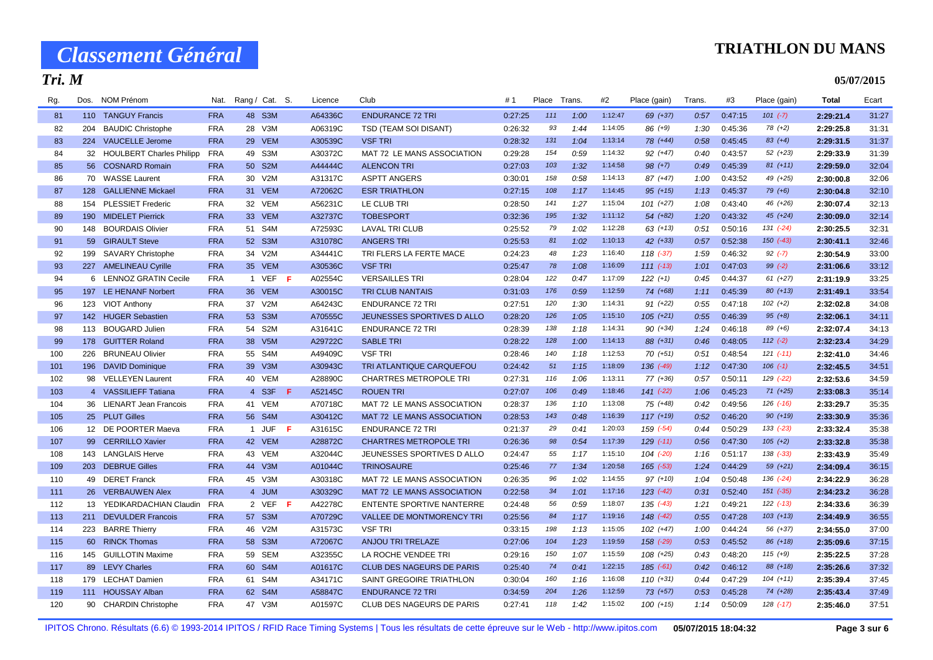### **TRIATHLON DU MANS**

## *Tri. M*

| Rg. | Dos. | NOM Prénom                  | Nat.       | Rang / Cat. S. |         |    | Licence | Club                             | #1      | Place Trans. |      | #2      | Place (gain)  | Trans. | #3      | Place (gain)  | <b>Total</b> | Ecart |
|-----|------|-----------------------------|------------|----------------|---------|----|---------|----------------------------------|---------|--------------|------|---------|---------------|--------|---------|---------------|--------------|-------|
| 81  |      | 110 TANGUY Francis          | <b>FRA</b> |                | 48 S3M  |    | A64336C | <b>ENDURANCE 72 TRI</b>          | 0:27:25 | 111          | 1:00 | 1:12:47 | 69 (+37)      | 0:57   | 0:47:15 | $101 (-7)$    | 2:29:21.4    | 31:27 |
| 82  | 204  | <b>BAUDIC Christophe</b>    | <b>FRA</b> |                | 28 V3M  |    | A06319C | TSD (TEAM SOI DISANT)            | 0:26:32 | 93           | 1:44 | 1:14:05 | 86 (+9)       | 1:30   | 0:45:36 | $78(+2)$      | 2:29:25.8    | 31:31 |
| 83  |      | 224 VAUCELLE Jerome         | <b>FRA</b> |                | 29 VEM  |    | A30539C | <b>VSF TRI</b>                   | 0:28:32 | 131          | 1:04 | 1:13:14 | 78 (+44)      | 0:58   | 0:45:45 | $83 (+4)$     | 2:29:31.5    | 31:37 |
| 84  |      | 32 HOULBERT Charles Philipp | <b>FRA</b> |                | 49 S3M  |    | A30372C | MAT 72 LE MANS ASSOCIATION       | 0:29:28 | 154          | 0:59 | 1:14:32 | $92 (+47)$    | 0:40   | 0:43:57 | 52 (+23)      | 2:29:33.9    | 31:39 |
| 85  |      | 56 COSNARD Romain           | <b>FRA</b> |                | 50 S2M  |    | A44444C | <b>ALENCON TRI</b>               | 0:27:03 | 103          | 1:32 | 1:14:58 | $98 (+7)$     | 0:49   | 0:45:39 | $81 (+11)$    | 2:29:59.0    | 32:04 |
| 86  |      | 70 WASSE Laurent            | <b>FRA</b> |                | 30 V2M  |    | A31317C | <b>ASPTT ANGERS</b>              | 0:30:01 | 158          | 0:58 | 1:14:13 | 87 (+47)      | 1:00   | 0:43:52 | 49 (+25)      | 2:30:00.8    | 32:06 |
| 87  | 128  | <b>GALLIENNE Mickael</b>    | <b>FRA</b> |                | 31 VEM  |    | A72062C | <b>ESR TRIATHLON</b>             | 0:27:15 | 108          | 1:17 | 1:14:45 | $95 (+15)$    | 1:13   | 0:45:37 | $79(+6)$      | 2:30:04.8    | 32:10 |
| 88  | 154  | <b>PLESSIET Frederic</b>    | <b>FRA</b> |                | 32 VEM  |    | A56231C | LE CLUB TRI                      | 0:28:50 | 141          | 1:27 | 1:15:04 | $101 (+27)$   | 1:08   | 0:43:40 | 46 (+26)      | 2:30:07.4    | 32:13 |
| 89  |      | 190 MIDELET Pierrick        | <b>FRA</b> |                | 33 VEM  |    | A32737C | <b>TOBESPORT</b>                 | 0:32:36 | 195          | 1:32 | 1:11:12 | $54(+82)$     | 1:20   | 0:43:32 | $45 (+24)$    | 2:30:09.0    | 32:14 |
| 90  | 148  | <b>BOURDAIS Olivier</b>     | <b>FRA</b> |                | 51 S4M  |    | A72593C | <b>LAVAL TRI CLUB</b>            | 0:25:52 | 79           | 1:02 | 1:12:28 | $63$ $(+13)$  | 0:51   | 0:50:16 | $131 (-24)$   | 2:30:25.5    | 32:31 |
| 91  |      | 59 GIRAULT Steve            | <b>FRA</b> |                | 52 S3M  |    | A31078C | <b>ANGERS TRI</b>                | 0:25:53 | 81           | 1:02 | 1:10:13 | $42$ $(+33)$  | 0:57   | 0:52:38 | 150 (-43)     | 2:30:41.1    | 32:46 |
| 92  | 199  | <b>SAVARY Christophe</b>    | <b>FRA</b> |                | 34 V2M  |    | A34441C | TRI FLERS LA FERTE MACE          | 0:24:23 | 48           | 1:23 | 1:16:40 | $118(+37)$    | 1:59   | 0:46:32 | $92 (-7)$     | 2:30:54.9    | 33:00 |
| 93  |      | 227 AMELINEAU Cyrille       | <b>FRA</b> |                | 35 VEM  |    | A30536C | <b>VSF TRI</b>                   | 0:25:47 | 78           | 1:08 | 1:16:09 | $111 (-13)$   | 1:01   | 0:47:03 | $99(-2)$      | 2:31:06.6    | 33:12 |
| 94  |      | 6 LENNOZ GRATIN Cecile      | <b>FRA</b> |                | 1 VEF   | -F | A02554C | <b>VERSAILLES TRI</b>            | 0:28:04 | 122          | 0:47 | 1:17:09 | $122 (+1)$    | 0:45   | 0:44:37 | $61 (+27)$    | 2:31:19.9    | 33:25 |
| 95  | 197  | LE HENANF Norbert           | <b>FRA</b> |                | 36 VEM  |    | A30015C | <b>TRI CLUB NANTAIS</b>          | 0:31:03 | 176          | 0:59 | 1:12:59 | $74(+68)$     | 1:11   | 0:45:39 | $80 (+13)$    | 2:31:49.1    | 33:54 |
| 96  | 123  | <b>VIOT Anthony</b>         | <b>FRA</b> |                | 37 V2M  |    | A64243C | <b>ENDURANCE 72 TRI</b>          | 0:27:51 | 120          | 1:30 | 1:14:31 | $91 (+22)$    | 0:55   | 0:47:18 | $102 (+2)$    | 2:32:02.8    | 34:08 |
| 97  |      | 142 HUGER Sebastien         | <b>FRA</b> |                | 53 S3M  |    | A70555C | JEUNESSES SPORTIVES D ALLO       | 0:28:20 | 126          | 1:05 | 1:15:10 | $105 (+21)$   | 0:55   | 0:46:39 | $95(+8)$      | 2:32:06.1    | 34:11 |
| 98  |      | 113 BOUGARD Julien          | <b>FRA</b> |                | 54 S2M  |    | A31641C | <b>ENDURANCE 72 TRI</b>          | 0:28:39 | 138          | 1:18 | 1:14:31 | 90 (+34)      | 1:24   | 0:46:18 | 89 (+6)       | 2:32:07.4    | 34:13 |
| 99  |      | 178 GUITTER Roland          | <b>FRA</b> |                | 38 V5M  |    | A29722C | <b>SABLE TRI</b>                 | 0:28:22 | 128          | 1:00 | 1:14:13 | 88 (+31)      | 0:46   | 0:48:05 | $112 (-2)$    | 2:32:23.4    | 34:29 |
| 100 | 226  | <b>BRUNEAU Olivier</b>      | <b>FRA</b> |                | 55 S4M  |    | A49409C | <b>VSF TRI</b>                   | 0:28:46 | 140          | 1:18 | 1:12:53 | $70(+51)$     | 0:51   | 0:48:54 | $121 (-11)$   | 2:32:41.0    | 34:46 |
| 101 |      | 196 DAVID Dominique         | <b>FRA</b> |                | 39 V3M  |    | A30943C | TRI ATLANTIQUE CARQUEFOU         | 0:24:42 | 51           | 1:15 | 1:18:09 | 136 (-49)     | 1:12   | 0:47:30 | $106$ $(-1)$  | 2:32:45.5    | 34:51 |
| 102 |      | 98 VELLEYEN Laurent         | <b>FRA</b> |                | 40 VEM  |    | A28890C | <b>CHARTRES METROPOLE TRI</b>    | 0:27:31 | 116          | 1:06 | 1:13:11 | $77(+36)$     | 0:57   | 0:50:11 | 129 (-22)     | 2:32:53.6    | 34:59 |
| 103 |      | 4 VASSILIEFF Tatiana        | <b>FRA</b> |                | 4 S3F   | -F | A52145C | <b>ROUEN TRI</b>                 | 0:27:07 | 106          | 0:49 | 1:18:46 | $141$ $(-22)$ | 1:06   | 0:45:23 | $71 (+25)$    | 2:33:08.3    | 35:14 |
| 104 |      | 36 LIENART Jean Francois    | <b>FRA</b> |                | 41 VEM  |    | A70718C | MAT 72 LE MANS ASSOCIATION       | 0:28:37 | 136          | 1:10 | 1:13:08 | $75(+48)$     | 0:42   | 0:49:56 | $126$ $(-16)$ | 2:33:29.7    | 35:35 |
| 105 |      | 25 PLUT Gilles              | <b>FRA</b> |                | 56 S4M  |    | A30412C | MAT 72 LE MANS ASSOCIATION       | 0:28:53 | 143          | 0:48 | 1:16:39 | $117 (+19)$   | 0:52   | 0:46:20 | $90 (+19)$    | 2:33:30.9    | 35:36 |
| 106 |      | 12 DE POORTER Maeva         | <b>FRA</b> |                | 1 JUF   | -F | A31615C | <b>ENDURANCE 72 TRI</b>          | 0:21:37 | 29           | 0:41 | 1:20:03 | $159$ $(-54)$ | 0:44   | 0:50:29 | 133 (-23)     | 2:33:32.4    | 35:38 |
| 107 |      | 99 CERRILLO Xavier          | <b>FRA</b> |                | 42 VEM  |    | A28872C | <b>CHARTRES METROPOLE TRI</b>    | 0:26:36 | 98           | 0:54 | 1:17:39 | $129$ $(-11)$ | 0:56   | 0:47:30 | $105 (+2)$    | 2:33:32.8    | 35:38 |
| 108 |      | 143 LANGLAIS Herve          | <b>FRA</b> |                | 43 VEM  |    | A32044C | JEUNESSES SPORTIVES D ALLO       | 0:24:47 | 55           | 1:17 | 1:15:10 | $104$ $(-20)$ | 1:16   | 0:51:17 | 138 (-33)     | 2:33:43.9    | 35:49 |
| 109 |      | 203 DEBRUE Gilles           | <b>FRA</b> |                | 44 V3M  |    | A01044C | <b>TRINOSAURE</b>                | 0:25:46 | 77           | 1:34 | 1:20:58 | $165$ $(-53)$ | 1:24   | 0:44:29 | 59 (+21)      | 2:34:09.4    | 36:15 |
| 110 | 49   | <b>DERET Franck</b>         | <b>FRA</b> |                | 45 V3M  |    | A30318C | MAT 72 LE MANS ASSOCIATION       | 0:26:35 | 96           | 1:02 | 1:14:55 | $97 (+10)$    | 1:04   | 0:50:48 | 136 (-24)     | 2:34:22.9    | 36:28 |
| 111 |      | 26 VERBAUWEN Alex           | <b>FRA</b> |                | 4 JUM   |    | A30329C | MAT 72 LE MANS ASSOCIATION       | 0:22:58 | 34           | 1:01 | 1:17:16 | $123$ $(-42)$ | 0:31   | 0:52:40 | 151 (-35)     | 2:34:23.2    | 36:28 |
| 112 |      | 13 YEDIKARDACHIAN Claudin   | <b>FRA</b> |                | 2 VEF F |    | A42278C | ENTENTE SPORTIVE NANTERRE        | 0:24:48 | 56           | 0:59 | 1:18:07 | $135$ $(-43)$ | 1:21   | 0:49:21 | $122$ $(-13)$ | 2:34:33.6    | 36:39 |
| 113 |      | 211 DEVULDER Francois       | <b>FRA</b> |                | 57 S3M  |    | A70729C | <b>VALLEE DE MONTMORENCY TRI</b> | 0:25:56 | 84           | 1:17 | 1:19:16 | $148$ $(-42)$ | 0:55   | 0:47:28 | $103 (+13)$   | 2:34:49.9    | 36:55 |
| 114 | 223  | <b>BARRE Thierry</b>        | <b>FRA</b> |                | 46 V2M  |    | A31573C | <b>VSF TRI</b>                   | 0:33:15 | 198          | 1:13 | 1:15:05 | $102 (+47)$   | 1:00   | 0:44:24 | 56 (+37)      | 2:34:55.0    | 37:00 |
| 115 | 60   | <b>RINCK Thomas</b>         | <b>FRA</b> |                | 58 S3M  |    | A72067C | <b>ANJOU TRI TRELAZE</b>         | 0:27:06 | 104          | 1:23 | 1:19:59 | 158 (-29)     | 0:53   | 0:45:52 | 86 (+18)      | 2:35:09.6    | 37:15 |
| 116 | 145  | <b>GUILLOTIN Maxime</b>     | <b>FRA</b> |                | 59 SEM  |    | A32355C | LA ROCHE VENDEE TRI              | 0:29:16 | 150          | 1:07 | 1:15:59 | $108 (+25)$   | 0:43   | 0:48:20 | $115 (+9)$    | 2:35:22.5    | 37:28 |
| 117 |      | 89 LEVY Charles             | <b>FRA</b> |                | 60 S4M  |    | A01617C | <b>CLUB DES NAGEURS DE PARIS</b> | 0:25:40 | 74           | 0:41 | 1:22:15 | $185$ $(-61)$ | 0:42   | 0:46:12 | 88 (+18)      | 2:35:26.6    | 37:32 |
| 118 |      | 179 LECHAT Damien           | <b>FRA</b> |                | 61 S4M  |    | A34171C | SAINT GREGOIRE TRIATHLON         | 0:30:04 | 160          | 1:16 | 1:16:08 | $110 (+31)$   | 0:44   | 0:47:29 | $104 (+11)$   | 2:35:39.4    | 37:45 |
| 119 |      | 111 HOUSSAY Alban           | <b>FRA</b> |                | 62 S4M  |    | A58847C | <b>ENDURANCE 72 TRI</b>          | 0:34:59 | 204          | 1:26 | 1:12:59 | $73(+57)$     | 0:53   | 0:45:28 | 74 (+28)      | 2:35:43.4    | 37:49 |
| 120 |      | 90 CHARDIN Christophe       | <b>FRA</b> |                | 47 V3M  |    | A01597C | CLUB DES NAGEURS DE PARIS        | 0:27:41 | 118          | 1:42 | 1:15:02 | $100 (+15)$   | 1:14   | 0:50:09 | 128 (-17)     | 2:35:46.0    | 37:51 |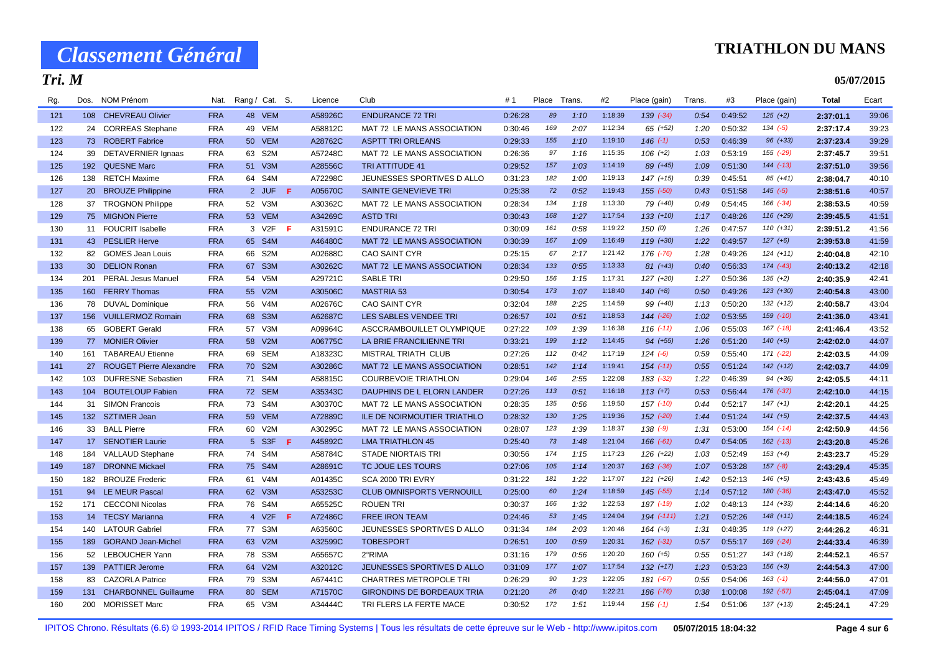### **TRIATHLON DU MANS**

## *Tri. M*

| 05/07/2015 |
|------------|
|------------|

| Rg. | Dos. | NOM Prénom                  | Nat.       | Rang / Cat. S. |     | Licence | Club                              | #1      | Place | Trans. | #2      | Place (gain)    | Trans. | #3      | Place (gain)  | Total     | Ecart |
|-----|------|-----------------------------|------------|----------------|-----|---------|-----------------------------------|---------|-------|--------|---------|-----------------|--------|---------|---------------|-----------|-------|
| 121 |      | 108 CHEVREAU Olivier        | <b>FRA</b> | 48 VEM         |     | A58926C | <b>ENDURANCE 72 TRI</b>           | 0:26:28 | 89    | 1:10   | 1:18:39 | $139$ $(-34)$   | 0:54   | 0:49:52 | $125 (+2)$    | 2:37:01.1 | 39:06 |
| 122 |      | 24 CORREAS Stephane         | <b>FRA</b> | 49 VEM         |     | A58812C | MAT 72 LE MANS ASSOCIATION        | 0:30:46 | 169   | 2:07   | 1:12:34 | $65 (+52)$      | 1:20   | 0:50:32 | $134 (-5)$    | 2:37:17.4 | 39:23 |
| 123 |      | 73 ROBERT Fabrice           | <b>FRA</b> | 50 VEM         |     | A28762C | <b>ASPTT TRI ORLEANS</b>          | 0:29:33 | 155   | 1:10   | 1:19:10 | $146$ $(-1)$    | 0:53   | 0:46:39 | 96 (+33)      | 2:37:23.4 | 39:29 |
| 124 |      | 39 DETAVERNIER Ignaas       | <b>FRA</b> | 63 S2M         |     | A57248C | MAT 72 LE MANS ASSOCIATION        | 0:26:36 | 97    | 1:16   | 1:15:35 | $106 (+2)$      | 1:03   | 0:53:19 | 155 (-29)     | 2:37:45.7 | 39:51 |
| 125 | 192  | <b>QUESNE Marc</b>          | <b>FRA</b> | 51 V3M         |     | A28556C | <b>TRI ATTITUDE 41</b>            | 0:29:52 | 157   | 1:03   | 1:14:19 | 89 (+45)        | 1:09   | 0:51:30 | 144 (-13)     | 2:37:51.0 | 39:56 |
| 126 |      | 138 RETCH Maxime            | <b>FRA</b> | 64 S4M         |     | A72298C | JEUNESSES SPORTIVES D ALLO        | 0:31:23 | 182   | 1:00   | 1:19:13 | $147 (+15)$     | 0:39   | 0:45:51 | $85 (+41)$    | 2:38:04.7 | 40:10 |
| 127 |      | 20 BROUZE Philippine        | <b>FRA</b> | 2 JUF          | F.  | A05670C | <b>SAINTE GENEVIEVE TRI</b>       | 0:25:38 | 72    | 0:52   | 1:19:43 | $155 (-50)$     | 0:43   | 0:51:58 | $145$ $(-5)$  | 2:38:51.6 | 40:57 |
| 128 |      | 37 TROGNON Philippe         | <b>FRA</b> | 52 V3M         |     | A30362C | MAT 72 LE MANS ASSOCIATION        | 0:28:34 | 134   | 1:18   | 1:13:30 | 79 (+40)        | 0:49   | 0:54:45 | $166$ $(-34)$ | 2:38:53.5 | 40:59 |
| 129 |      | 75 MIGNON Pierre            | <b>FRA</b> | 53 VEM         |     | A34269C | <b>ASTD TRI</b>                   | 0:30:43 | 168   | 1:27   | 1:17:54 | $133 (+10)$     | 1:17   | 0:48:26 | $116 (+29)$   | 2:39:45.5 | 41:51 |
| 130 |      | 11 FOUCRIT Isabelle         | <b>FRA</b> | 3 V2F          | -F. | A31591C | <b>ENDURANCE 72 TRI</b>           | 0:30:09 | 161   | 0:58   | 1:19:22 | 150(0)          | 1:26   | 0:47:57 | $110 (+31)$   | 2:39:51.2 | 41:56 |
| 131 |      | 43 PESLIER Herve            | <b>FRA</b> | 65 S4M         |     | A46480C | MAT 72 LE MANS ASSOCIATION        | 0:30:39 | 167   | 1:09   | 1:16:49 | $119 (+30)$     | 1:22   | 0:49:57 | $127 (+6)$    | 2:39:53.8 | 41:59 |
| 132 |      | 82 GOMES Jean Louis         | <b>FRA</b> | 66 S2M         |     | A02688C | <b>CAO SAINT CYR</b>              | 0:25:15 | 67    | 2:17   | 1:21:42 | 176 (-76)       | 1:28   | 0:49:26 | $124 (+11)$   | 2:40:04.8 | 42:10 |
| 133 |      | 30 DELION Ronan             | <b>FRA</b> | 67 S3M         |     | A30262C | <b>MAT 72 LE MANS ASSOCIATION</b> | 0:28:34 | 133   | 0:55   | 1:13:33 | $81 (+43)$      | 0:40   | 0:56:33 | $174$ $(-43)$ | 2:40:13.2 | 42:18 |
| 134 | 201  | <b>PERAL Jesus Manuel</b>   | <b>FRA</b> | 54 V5M         |     | A29721C | <b>SABLE TRI</b>                  | 0:29:50 | 156   | 1:15   | 1:17:31 | $127 (+20)$     | 1:27   | 0:50:36 | $135 (+2)$    | 2:40:35.9 | 42:41 |
| 135 | 160  | <b>FERRY Thomas</b>         | <b>FRA</b> | 55 V2M         |     | A30506C | <b>MASTRIA 53</b>                 | 0:30:54 | 173   | 1:07   | 1:18:40 | $140 (+8)$      | 0:50   | 0:49:26 | 123 (+30)     | 2:40:54.8 | 43:00 |
| 136 |      | 78 DUVAL Dominique          | <b>FRA</b> | 56 V4M         |     | A02676C | <b>CAO SAINT CYR</b>              | 0:32:04 | 188   | 2:25   | 1:14:59 | 99 (+40)        | 1:13   | 0:50:20 | $132 (+12)$   | 2:40:58.7 | 43:04 |
| 137 |      | 156 VUILLERMOZ Romain       | <b>FRA</b> | 68 S3M         |     | A62687C | LES SABLES VENDEE TRI             | 0:26:57 | 101   | 0:51   | 1:18:53 | $144$ $(-26)$   | 1:02   | 0:53:55 | 159 (-10)     | 2:41:36.0 | 43:41 |
| 138 |      | 65 GOBERT Gerald            | <b>FRA</b> | 57 V3M         |     | A09964C | ASCCRAMBOUILLET OLYMPIQUE         | 0:27:22 | 109   | 1:39   | 1:16:38 | $116(-11)$      | 1:06   | 0:55:03 | 167 (-18)     | 2:41:46.4 | 43:52 |
| 139 |      | 77 MONIER Olivier           | <b>FRA</b> | 58 V2M         |     | A06775C | LA BRIE FRANCILIENNE TRI          | 0:33:21 | 199   | 1:12   | 1:14:45 | 94 (+55)        | 1:26   | 0:51:20 | $140 (+5)$    | 2:42:02.0 | 44:07 |
| 140 | 161  | <b>TABAREAU Etienne</b>     | <b>FRA</b> | 69 SEM         |     | A18323C | MISTRAL TRIATH CLUB               | 0:27:26 | 112   | 0:42   | 1:17:19 | $124(-6)$       | 0:59   | 0:55:40 | 171 (-22)     | 2:42:03.5 | 44:09 |
| 141 |      | 27 ROUGET Pierre Alexandre  | <b>FRA</b> | 70 S2M         |     | A30286C | MAT 72 LE MANS ASSOCIATION        | 0:28:51 | 142   | 1:14   | 1:19:41 | $154$ $(-11)$   | 0:55   | 0:51:24 | 142 (+12)     | 2:42:03.7 | 44:09 |
| 142 | 103  | <b>DUFRESNE Sebastien</b>   | <b>FRA</b> | 71 S4M         |     | A58815C | <b>COURBEVOIE TRIATHLON</b>       | 0:29:04 | 146   | 2:55   | 1:22:08 | $183$ $(-32)$   | 1:22   | 0:46:39 | 94 (+36)      | 2:42:05.5 | 44:11 |
| 143 |      | 104 BOUTELOUP Fabien        | <b>FRA</b> | 72 SEM         |     | A35343C | DAUPHINS DE L ELORN LANDER        | 0:27:26 | 113   | 0:51   | 1:16:18 | $113 (+7)$      | 0:53   | 0:56:44 | $176$ $(-37)$ | 2:42:10.0 | 44:15 |
| 144 | 31   | <b>SIMON Francois</b>       | <b>FRA</b> | 73 S4M         |     | A30370C | MAT 72 LE MANS ASSOCIATION        | 0:28:35 | 135   | 0:56   | 1:19:50 | $157$ $(-10)$   | 0:44   | 0:52:17 | $147 (+1)$    | 2:42:20.1 | 44:25 |
| 145 |      | 132 SZTIMER Jean            | <b>FRA</b> | 59 VEM         |     | A72889C | ILE DE NOIRMOUTIER TRIATHLO       | 0:28:32 | 130   | 1:25   | 1:19:36 | 152 (-20)       | 1:44   | 0:51:24 | 141 (+5)      | 2:42:37.5 | 44:43 |
| 146 |      | 33 BALL Pierre              | <b>FRA</b> | 60 V2M         |     | A30295C | MAT 72 LE MANS ASSOCIATION        | 0:28:07 | 123   | 1:39   | 1:18:37 | $138(-9)$       | 1:31   | 0:53:00 | $154$ $(-14)$ | 2:42:50.9 | 44:56 |
| 147 |      | 17 SENOTIER Laurie          | <b>FRA</b> | 5 S3F          | F.  | A45892C | <b>LMA TRIATHLON 45</b>           | 0:25:40 | 73    | 1:48   | 1:21:04 | $166 (-61)$     | 0:47   | 0:54:05 | $162$ $(-13)$ | 2:43:20.8 | 45:26 |
| 148 | 184  | <b>VALLAUD Stephane</b>     | <b>FRA</b> | 74 S4M         |     | A58784C | <b>STADE NIORTAIS TRI</b>         | 0:30:56 | 174   | 1:15   | 1:17:23 | $126 (+22)$     | 1:03   | 0:52:49 | $153 (+4)$    | 2:43:23.7 | 45:29 |
| 149 | 187  | <b>DRONNE Mickael</b>       | <b>FRA</b> | 75 S4M         |     | A28691C | TC JOUE LES TOURS                 | 0:27:06 | 105   | 1:14   | 1:20:37 | $163$ $(-36)$   | 1:07   | 0:53:28 | $157 (-8)$    | 2:43:29.4 | 45:35 |
| 150 | 182  | <b>BROUZE Frederic</b>      | <b>FRA</b> | 61 V4M         |     | A01435C | SCA 2000 TRI EVRY                 | 0:31:22 | 181   | 1:22   | 1:17:07 | $121 (+26)$     | 1:42   | 0:52:13 | $146 (+5)$    | 2:43:43.6 | 45:49 |
| 151 |      | 94 LE MEUR Pascal           | <b>FRA</b> | 62 V3M         |     | A53253C | <b>CLUB OMNISPORTS VERNOUILL</b>  | 0:25:00 | 60    | 1:24   | 1:18:59 | $145$ ( $-55$ ) | 1:14   | 0:57:12 | 180 (-36)     | 2:43:47.0 | 45:52 |
| 152 |      | 171 CECCONI Nicolas         | <b>FRA</b> | 76 S4M         |     | A65525C | <b>ROUEN TRI</b>                  | 0:30:37 | 166   | 1:32   | 1:22:53 | $187$ $(-19)$   | 1:02   | 0:48:13 | $114 (+33)$   | 2:44:14.6 | 46:20 |
| 153 |      | 14 TECSY Marianna           | <b>FRA</b> | 4 V2F          | -F. | A72486C | <b>FREE IRON TEAM</b>             | 0:24:46 | 53    | 1:45   | 1:24:04 | 194 (-111)      | 1:21   | 0:52:26 | $148 (+11)$   | 2:44:18.5 | 46:24 |
| 154 |      | 140 LATOUR Gabriel          | <b>FRA</b> | 77 S3M         |     | A63560C | JEUNESSES SPORTIVES D ALLO        | 0:31:34 | 184   | 2:03   | 1:20:46 | $164 (+3)$      | 1:31   | 0:48:35 | 119 (+27)     | 2:44:26.2 | 46:31 |
| 155 |      | 189 GORAND Jean-Michel      | <b>FRA</b> | 63 V2M         |     | A32599C | <b>TOBESPORT</b>                  | 0:26:51 | 100   | 0:59   | 1:20:31 | $162$ $(-31)$   | 0:57   | 0:55:17 | 169 (-24)     | 2:44:33.4 | 46:39 |
| 156 |      | 52 LEBOUCHER Yann           | <b>FRA</b> | 78 S3M         |     | A65657C | 2°RIMA                            | 0:31:16 | 179   | 0:56   | 1:20:20 | $160 (+5)$      | 0:55   | 0:51:27 | 143 (+18)     | 2:44:52.1 | 46:57 |
| 157 |      | 139 PATTIER Jerome          | <b>FRA</b> | 64 V2M         |     | A32012C | JEUNESSES SPORTIVES D ALLO        | 0:31:09 | 177   | 1:07   | 1:17:54 | $132 (+17)$     | 1:23   | 0:53:23 | $156 (+3)$    | 2:44:54.3 | 47:00 |
| 158 |      | 83 CAZORLA Patrice          | <b>FRA</b> | 79 S3M         |     | A67441C | <b>CHARTRES METROPOLE TRI</b>     | 0:26:29 | 90    | 1:23   | 1:22:05 | 181 (-67)       | 0:55   | 0:54:06 | $163$ $(-1)$  | 2:44:56.0 | 47:01 |
| 159 | 131  | <b>CHARBONNEL Guillaume</b> | <b>FRA</b> | 80 SEM         |     | A71570C | <b>GIRONDINS DE BORDEAUX TRIA</b> | 0:21:20 | 26    | 0:40   | 1:22:21 | 186 (-76)       | 0:38   | 1:00:08 | 192 (-57)     | 2:45:04.1 | 47:09 |
| 160 |      | 200 MORISSET Marc           | <b>FRA</b> | 65 V3M         |     | A34444C | TRI FLERS LA FERTE MACE           | 0:30:52 | 172   | 1:51   | 1:19:44 | $156$ $(-1)$    | 1:54   | 0:51:06 | $137 (+13)$   | 2:45:24.1 | 47:29 |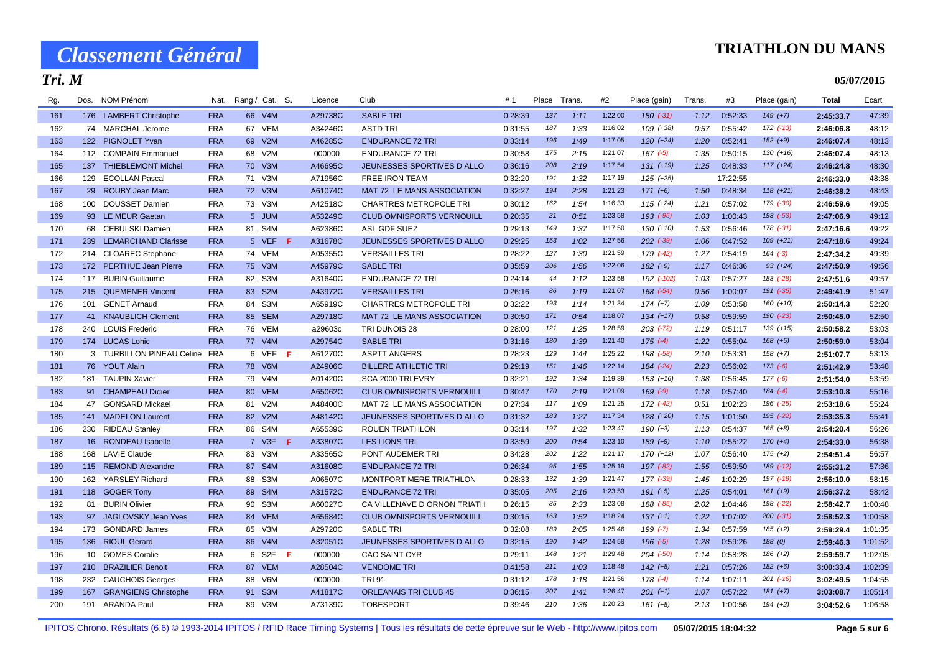### **TRIATHLON DU MANS**

## *Tri. M*

| 05/07/2015 |
|------------|
|------------|

| Rg. |                 | Dos. NOM Prénom               |            | Nat. Rang / Cat. S. |             |     | Licence | Club                             | #1      | Place Trans. |      | #2      | Place (gain)  | Trans. | #3       | Place (gain)  | <b>Total</b> | Ecart   |
|-----|-----------------|-------------------------------|------------|---------------------|-------------|-----|---------|----------------------------------|---------|--------------|------|---------|---------------|--------|----------|---------------|--------------|---------|
| 161 |                 | 176 LAMBERT Christophe        | <b>FRA</b> |                     | 66 V4M      |     | A29738C | <b>SABLE TRI</b>                 | 0:28:39 | 137          | 1:11 | 1:22:00 | $180(-31)$    | 1:12   | 0:52:33  | $149 (+7)$    | 2:45:33.7    | 47:39   |
| 162 |                 | 74 MARCHAL Jerome             | <b>FRA</b> |                     | 67 VEM      |     | A34246C | <b>ASTD TRI</b>                  | 0:31:55 | 187          | 1:33 | 1:16:02 | $109 (+38)$   | 0:57   | 0:55:42  | $172$ $(-13)$ | 2:46:06.8    | 48:12   |
| 163 |                 | 122 PIGNOLET Yvan             | <b>FRA</b> |                     | 69 V2M      |     | A46285C | <b>ENDURANCE 72 TRI</b>          | 0:33:14 | 196          | 1:49 | 1:17:05 | $120 (+24)$   | 1:20   | 0:52:41  | $152 (+9)$    | 2:46:07.4    | 48:13   |
| 164 |                 | 112 COMPAIN Emmanuel          | <b>FRA</b> |                     | 68 V2M      |     | 000000  | <b>ENDURANCE 72 TRI</b>          | 0:30:58 | 175          | 2:15 | 1:21:07 | $167$ $(-5)$  | 1:35   | 0:50:15  | $130 (+16)$   | 2:46:07.4    | 48:13   |
| 165 | 137             | <b>THIEBLEMONT Michel</b>     | <b>FRA</b> |                     | 70 V3M      |     | A46695C | JEUNESSES SPORTIVES D ALLO       | 0:36:16 | 208          | 2:19 | 1:17:54 | $131 (+19)$   | 1:25   | 0:48:33  | $117 (+24)$   | 2:46:24.8    | 48:30   |
| 166 | 129             | <b>ECOLLAN Pascal</b>         | <b>FRA</b> |                     | 71 V3M      |     | A71956C | FREE IRON TEAM                   | 0:32:20 | 191          | 1:32 | 1:17:19 | $125 (+25)$   |        | 17:22:55 |               | 2:46:33.0    | 48:38   |
| 167 |                 | 29 ROUBY Jean Marc            | <b>FRA</b> |                     | 72 V3M      |     | A61074C | MAT 72 LE MANS ASSOCIATION       | 0:32:27 | 194          | 2:28 | 1:21:23 | $171 (+6)$    | 1:50   | 0:48:34  | $118 (+21)$   | 2:46:38.2    | 48:43   |
| 168 |                 | 100 DOUSSET Damien            | <b>FRA</b> |                     | 73 V3M      |     | A42518C | <b>CHARTRES METROPOLE TRI</b>    | 0:30:12 | 162          | 1:54 | 1:16:33 | $115 (+24)$   | 1:21   | 0:57:02  | 179 (-30)     | 2:46:59.6    | 49:05   |
| 169 |                 | 93 LE MEUR Gaetan             | <b>FRA</b> |                     | 5 JUM       |     | A53249C | <b>CLUB OMNISPORTS VERNOUILL</b> | 0:20:35 | 21           | 0:51 | 1:23:58 | 193 (-95)     | 1:03   | 1:00:43  | 193 (-53)     | 2:47:06.9    | 49:12   |
| 170 | 68              | <b>CEBULSKI Damien</b>        | <b>FRA</b> |                     | 81 S4M      |     | A62386C | ASL GDF SUEZ                     | 0:29:13 | 149          | 1:37 | 1:17:50 | $130 (+10)$   | 1:53   | 0:56:46  | 178 (-31)     | 2:47:16.6    | 49:22   |
| 171 | 239             | <b>LEMARCHAND Clarisse</b>    | <b>FRA</b> |                     | 5 VEF       | -F  | A31678C | JEUNESSES SPORTIVES D ALLO       | 0:29:25 | 153          | 1:02 | 1:27:56 | $202$ $(-39)$ | 1:06   | 0:47:52  | $109 (+21)$   | 2:47:18.6    | 49:24   |
| 172 |                 | 214 CLOAREC Stephane          | <b>FRA</b> |                     | 74 VEM      |     | A05355C | <b>VERSAILLES TRI</b>            | 0:28:22 | 127          | 1:30 | 1:21:59 | 179 (-42)     | 1:27   | 0:54:19  | $164$ $(-3)$  | 2:47:34.2    | 49:39   |
| 173 |                 | 172 PERTHUE Jean Pierre       | <b>FRA</b> |                     | 75 V3M      |     | A45979C | <b>SABLE TRI</b>                 | 0:35:59 | 206          | 1:56 | 1:22:06 | $182 (+9)$    | 1:17   | 0:46:36  | $93 (+24)$    | 2:47:50.9    | 49:56   |
| 174 |                 | 117 BURIN Guillaume           | <b>FRA</b> |                     | 82 S3M      |     | A31640C | <b>ENDURANCE 72 TRI</b>          | 0:24:14 | 44           | 1:12 | 1:23:58 | 192 (-102)    | 1:03   | 0:57:27  | 183 (-28)     | 2:47:51.6    | 49:57   |
| 175 |                 | 215 QUEMENER Vincent          | <b>FRA</b> |                     | 83 S2M      |     | A43972C | <b>VERSAILLES TRI</b>            | 0:26:16 | 86           | 1:19 | 1:21:07 | 168 (-54)     | 0:56   | 1:00:07  | 191 (-35)     | 2:49:41.9    | 51:47   |
| 176 | 101             | <b>GENET Arnaud</b>           | <b>FRA</b> |                     | 84 S3M      |     | A65919C | <b>CHARTRES METROPOLE TRI</b>    | 0:32:22 | 193          | 1:14 | 1:21:34 | $174 (+7)$    | 1:09   | 0:53:58  | $160 (+10)$   | 2:50:14.3    | 52:20   |
| 177 |                 | 41 KNAUBLICH Clement          | <b>FRA</b> |                     | 85 SEM      |     | A29718C | MAT 72 LE MANS ASSOCIATION       | 0:30:50 | 171          | 0:54 | 1:18:07 | $134 (+17)$   | 0:58   | 0:59:59  | 190 (-23)     | 2:50:45.0    | 52:50   |
| 178 |                 | 240 LOUIS Frederic            | <b>FRA</b> |                     | 76 VEM      |     | a29603c | TRI DUNOIS 28                    | 0:28:00 | 121          | 1:25 | 1:28:59 | $203$ $(-72)$ | 1:19   | 0:51:17  | $139 (+15)$   | 2:50:58.2    | 53:03   |
| 179 |                 | 174 LUCAS Lohic               | <b>FRA</b> |                     | 77 V4M      |     | A29754C | <b>SABLE TRI</b>                 | 0:31:16 | 180          | 1:39 | 1:21:40 | $175 (-4)$    | 1:22   | 0:55:04  | $168 (+5)$    | 2:50:59.0    | 53:04   |
| 180 |                 | 3 TURBILLON PINEAU Celine FRA |            |                     | 6 VEF       | -F  | A61270C | <b>ASPTT ANGERS</b>              | 0:28:23 | 129          | 1:44 | 1:25:22 | 198 (-58)     | 2:10   | 0:53:31  | $158 (+7)$    | 2:51:07.7    | 53:13   |
| 181 |                 | 76 YOUT Alain                 | <b>FRA</b> |                     | 78 V6M      |     | A24906C | <b>BILLERE ATHLETIC TRI</b>      | 0:29:19 | 151          | 1:46 | 1:22:14 | 184 (-24)     | 2:23   | 0:56:02  | $173(-6)$     | 2:51:42.9    | 53:48   |
| 182 |                 | 181 TAUPIN Xavier             | <b>FRA</b> |                     | 79 V4M      |     | A01420C | SCA 2000 TRI EVRY                | 0:32:21 | 192          | 1:34 | 1:19:39 | $153 (+16)$   | 1:38   | 0:56:45  | $177(-6)$     | 2:51:54.0    | 53:59   |
| 183 |                 | 91 CHAMPEAU Didier            | <b>FRA</b> |                     | 80 VEM      |     | A65062C | <b>CLUB OMNISPORTS VERNOUILL</b> | 0:30:47 | 170          | 2:19 | 1:21:09 | $169$ $(-9)$  | 1:18   | 0:57:40  | $184 (-4)$    | 2:53:10.8    | 55:16   |
| 184 |                 | 47 GONSARD Mickael            | <b>FRA</b> |                     | 81 V2M      |     | A48400C | MAT 72 LE MANS ASSOCIATION       | 0:27:34 | 117          | 1:09 | 1:21:25 | 172 (-42)     | 0:51   | 1:02:23  | 196 (-25)     | 2:53:18.6    | 55:24   |
| 185 | 141             | <b>MADELON Laurent</b>        | <b>FRA</b> |                     | 82 V2M      |     | A48142C | JEUNESSES SPORTIVES D ALLO       | 0:31:32 | 183          | 1:27 | 1:17:34 | $128 (+20)$   | 1:15   | 1:01:50  | 195 (-22)     | 2:53:35.3    | 55:41   |
| 186 | 230             | <b>RIDEAU Stanley</b>         | <b>FRA</b> |                     | 86 S4M      |     | A65539C | <b>ROUEN TRIATHLON</b>           | 0:33:14 | 197          | 1:32 | 1:23:47 | $190 (+3)$    | 1:13   | 0:54:37  | $165 (+8)$    | 2:54:20.4    | 56:26   |
| 187 |                 | 16 RONDEAU Isabelle           | <b>FRA</b> |                     | $7$ V3F $F$ |     | A33807C | <b>LES LIONS TRI</b>             | 0:33:59 | 200          | 0:54 | 1:23:10 | $189 (+9)$    | 1:10   | 0:55:22  | $170 (+4)$    | 2:54:33.0    | 56:38   |
| 188 | 168             | <b>LAVIE Claude</b>           | <b>FRA</b> |                     | 83 V3M      |     | A33565C | PONT AUDEMER TRI                 | 0:34:28 | 202          | 1:22 | 1:21:17 | $170 (+12)$   | 1:07   | 0:56:40  | $175 (+2)$    | 2:54:51.4    | 56:57   |
| 189 |                 | 115 REMOND Alexandre          | <b>FRA</b> |                     | 87 S4M      |     | A31608C | <b>ENDURANCE 72 TRI</b>          | 0:26:34 | 95           | 1:55 | 1:25:19 | 197 (-82)     | 1:55   | 0:59:50  | 189 (-12)     | 2:55:31.2    | 57:36   |
| 190 | 162             | YARSLEY Richard               | <b>FRA</b> |                     | 88 S3M      |     | A06507C | MONTFORT MERE TRIATHLON          | 0:28:33 | 132          | 1:39 | 1:21:47 | 177 (-39)     | 1:45   | 1:02:29  | 197 (-19)     | 2:56:10.0    | 58:15   |
| 191 |                 | 118 GOGER Tony                | <b>FRA</b> |                     | 89 S4M      |     | A31572C | <b>ENDURANCE 72 TRI</b>          | 0:35:05 | 205          | 2:16 | 1:23:53 | $191 (+5)$    | 1:25   | 0:54:01  | $161 (+9)$    | 2:56:37.2    | 58:42   |
| 192 |                 | 81 BURIN Olivier              | <b>FRA</b> |                     | 90 S3M      |     | A60027C | CA VILLENAVE D ORNON TRIATH      | 0:26:15 | 85           | 2:33 | 1:23:08 | 188 (-85)     | 2:02   | 1:04:46  | 198 (-22)     | 2:58:42.7    | 1:00:48 |
| 193 | 97              | JAGLOVSKY Jean Yves           | <b>FRA</b> |                     | 84 VEM      |     | A65684C | <b>CLUB OMNISPORTS VERNOUILL</b> | 0:30:15 | 163          | 1:52 | 1:18:24 | $137 (+1)$    | 1:22   | 1:07:02  | $200 (-31)$   | 2:58:52.3    | 1:00:58 |
| 194 |                 | 173 GONDARD James             | <b>FRA</b> |                     | 85 V3M      |     | A29720C | <b>SABLE TRI</b>                 | 0:32:08 | 189          | 2:05 | 1:25:46 | $199(-7)$     | 1:34   | 0:57:59  | $185 (+2)$    | 2:59:29.4    | 1:01:35 |
| 195 |                 | 136 RIOUL Gerard              | <b>FRA</b> |                     | 86 V4M      |     | A32051C | JEUNESSES SPORTIVES D ALLO       | 0:32:15 | 190          | 1:42 | 1:24:58 | $196$ $(-5)$  | 1:28   | 0:59:26  | 188 (0)       | 2:59:46.3    | 1:01:52 |
| 196 | 10 <sup>1</sup> | <b>GOMES Coralie</b>          | <b>FRA</b> |                     | 6 S2F       | - F | 000000  | <b>CAO SAINT CYR</b>             | 0:29:11 | 148          | 1:21 | 1:29:48 | $204$ $(-50)$ | 1:14   | 0:58:28  | $186 (+2)$    | 2:59:59.7    | 1:02:05 |
| 197 |                 | 210 BRAZILIER Benoit          | <b>FRA</b> |                     | 87 VEM      |     | A28504C | <b>VENDOME TRI</b>               | 0:41:58 | 211          | 1:03 | 1:18:48 | $142 (+8)$    | 1:21   | 0:57:26  | $182 (+6)$    | 3:00:33.4    | 1:02:39 |
| 198 |                 | 232 CAUCHOIS Georges          | <b>FRA</b> |                     | 88 V6M      |     | 000000  | <b>TRI 91</b>                    | 0:31:12 | 178          | 1:18 | 1:21:56 | $178$ $(-4)$  | 1:14   | 1:07:11  | $201$ $(-16)$ | 3:02:49.5    | 1:04:55 |
| 199 | 167             | <b>GRANGIENS Christophe</b>   | <b>FRA</b> |                     | 91 S3M      |     | A41817C | <b>ORLEANAIS TRI CLUB 45</b>     | 0:36:15 | 207          | 1:41 | 1:26:47 | $201 (+1)$    | 1:07   | 0:57:22  | $181 (+7)$    | 3:03:08.7    | 1:05:14 |
| 200 |                 | 191 ARANDA Paul               | <b>FRA</b> |                     | 89 V3M      |     | A73139C | <b>TOBESPORT</b>                 | 0:39:46 | 210          | 1:36 | 1:20:23 | $161 (+8)$    | 2:13   | 1:00:56  | $194 (+2)$    | 3:04:52.6    | 1:06:58 |

IPITOS Chrono. Résultats (6.6) © 1993-2014 IPITOS / RFID Race Timing Systems | Tous les résultats de cette épreuve sur le Web - http://www.ipitos.com **05/07/2015 18:04:32 Page 5 sur 6**